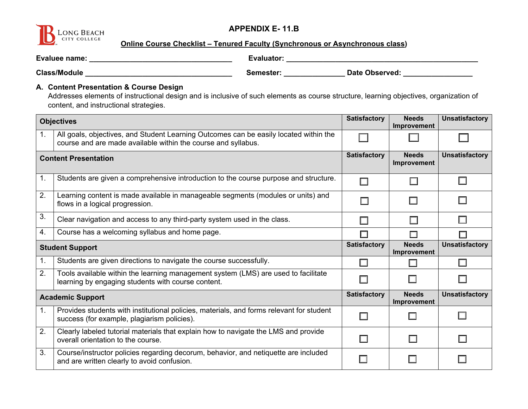

### **APPENDIX E- 11.B**

**Online Course Checklist – Tenured Faculty (Synchronous or Asynchronous class)** 

| Evaluee name:       | Evaluator: |                       |
|---------------------|------------|-----------------------|
| <b>Class/Module</b> | Semester:  | <b>Date Observed:</b> |

#### **A. Content Presentation & Course Design**

Addresses elements of instructional design and is inclusive of such elements as course structure, learning objectives, organization of content, and instructional strategies.

|                | <b>Satisfactory</b><br><b>Objectives</b>                                                                                                               |                          | <b>Needs</b><br>Improvement | <b>Unsatisfactory</b> |
|----------------|--------------------------------------------------------------------------------------------------------------------------------------------------------|--------------------------|-----------------------------|-----------------------|
| 1 <sub>1</sub> | All goals, objectives, and Student Learning Outcomes can be easily located within the<br>course and are made available within the course and syllabus. |                          |                             |                       |
|                | <b>Satisfactory</b><br><b>Content Presentation</b>                                                                                                     |                          | <b>Needs</b><br>Improvement | <b>Unsatisfactory</b> |
| 1.             | Students are given a comprehensive introduction to the course purpose and structure.                                                                   | П                        | П                           | Ш                     |
| 2.             | Learning content is made available in manageable segments (modules or units) and<br>flows in a logical progression.                                    | П                        |                             | $\Box$                |
| 3.             | Clear navigation and access to any third-party system used in the class.                                                                               |                          | П                           | <b>I</b>              |
| 4.             | Course has a welcoming syllabus and home page.                                                                                                         | $\Box$                   | П                           |                       |
|                | <b>Student Support</b>                                                                                                                                 | <b>Satisfactory</b>      | <b>Needs</b><br>Improvement | <b>Unsatisfactory</b> |
| 1.             | Students are given directions to navigate the course successfully.                                                                                     | H                        |                             |                       |
| 2.             | Tools available within the learning management system (LMS) are used to facilitate<br>learning by engaging students with course content.               | $\overline{\phantom{a}}$ | П                           | П                     |
|                | <b>Academic Support</b>                                                                                                                                | <b>Satisfactory</b>      | <b>Needs</b><br>Improvement | <b>Unsatisfactory</b> |
| 1 <sub>1</sub> | Provides students with institutional policies, materials, and forms relevant for student<br>success (for example, plagiarism policies).                | $\Box$                   | $\Box$                      |                       |
| 2.             | Clearly labeled tutorial materials that explain how to navigate the LMS and provide<br>overall orientation to the course.                              | П                        | П                           | П                     |
| 3.             | Course/instructor policies regarding decorum, behavior, and netiquette are included<br>and are written clearly to avoid confusion.                     |                          | П                           |                       |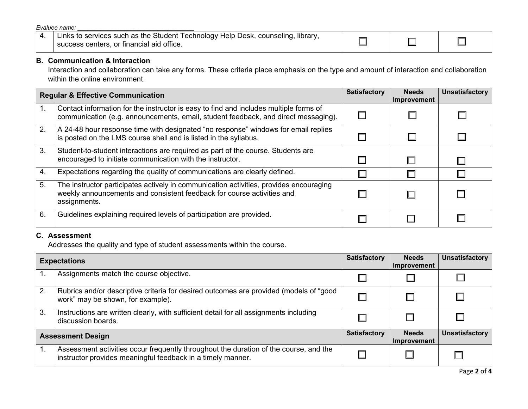$Evaluatee name:$ 

| Links to services such as the Student Technology Help Desk, counseling, library, |  |  |
|----------------------------------------------------------------------------------|--|--|
| success centers, or financial aid office.                                        |  |  |

# **B. Communication & Interaction**

Interaction and collaboration can take any forms. These criteria place emphasis on the type and amount of interaction and collaboration within the online environment.

|     | <b>Regular &amp; Effective Communication</b>                                                                                                                                     | <b>Satisfactory</b> | <b>Needs</b><br>Improvement | <b>Unsatisfactory</b> |
|-----|----------------------------------------------------------------------------------------------------------------------------------------------------------------------------------|---------------------|-----------------------------|-----------------------|
|     | Contact information for the instructor is easy to find and includes multiple forms of<br>communication (e.g. announcements, email, student feedback, and direct messaging).      |                     |                             |                       |
| 2.  | A 24-48 hour response time with designated "no response" windows for email replies<br>is posted on the LMS course shell and is listed in the syllabus.                           |                     |                             |                       |
| 3.  | Student-to-student interactions are required as part of the course. Students are<br>encouraged to initiate communication with the instructor.                                    |                     |                             |                       |
| -4. | Expectations regarding the quality of communications are clearly defined.                                                                                                        |                     |                             |                       |
| 5.  | The instructor participates actively in communication activities, provides encouraging<br>weekly announcements and consistent feedback for course activities and<br>assignments. |                     |                             |                       |
| 6.  | Guidelines explaining required levels of participation are provided.                                                                                                             |                     |                             |                       |

#### **C. Assessment**

Addresses the quality and type of student assessments within the course.

|                          | <b>Expectations</b>                                                                                                                                  | <b>Satisfactory</b> | <b>Needs</b><br><b>Improvement</b> | <b>Unsatisfactory</b> |
|--------------------------|------------------------------------------------------------------------------------------------------------------------------------------------------|---------------------|------------------------------------|-----------------------|
|                          | Assignments match the course objective.                                                                                                              |                     |                                    |                       |
| 2.                       | Rubrics and/or descriptive criteria for desired outcomes are provided (models of "good<br>work" may be shown, for example).                          |                     |                                    |                       |
| 3.                       | Instructions are written clearly, with sufficient detail for all assignments including<br>discussion boards.                                         |                     |                                    |                       |
| <b>Assessment Design</b> |                                                                                                                                                      | <b>Satisfactory</b> | <b>Needs</b><br><b>Improvement</b> | <b>Unsatisfactory</b> |
|                          | Assessment activities occur frequently throughout the duration of the course, and the<br>instructor provides meaningful feedback in a timely manner. |                     |                                    |                       |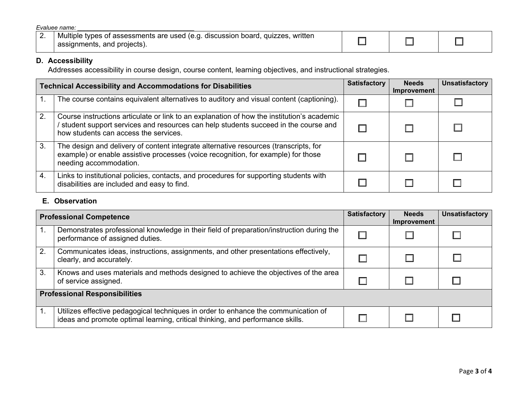| Evaluee name: |                                                                                                                |  |  |  |
|---------------|----------------------------------------------------------------------------------------------------------------|--|--|--|
| Ζ.            | Multiple types of assessments are used (e.g. discussion board, quizzes, written<br>assignments, and projects). |  |  |  |

# **D. Accessibility**

Addresses accessibility in course design, course content, learning objectives, and instructional strategies.

|    | <b>Technical Accessibility and Accommodations for Disabilities</b>                                                                                                                                                        | <b>Satisfactory</b> | <b>Needs</b><br><b>Improvement</b> | <b>Unsatisfactory</b> |
|----|---------------------------------------------------------------------------------------------------------------------------------------------------------------------------------------------------------------------------|---------------------|------------------------------------|-----------------------|
|    | The course contains equivalent alternatives to auditory and visual content (captioning).                                                                                                                                  |                     |                                    |                       |
| 2. | Course instructions articulate or link to an explanation of how the institution's academic<br>student support services and resources can help students succeed in the course and<br>how students can access the services. |                     |                                    |                       |
| 3. | The design and delivery of content integrate alternative resources (transcripts, for<br>example) or enable assistive processes (voice recognition, for example) for those<br>needing accommodation.                       |                     |                                    |                       |
| 4. | Links to institutional policies, contacts, and procedures for supporting students with<br>disabilities are included and easy to find.                                                                                     |                     |                                    |                       |

### **E. Observation**

|                | <b>Professional Competence</b>                                                                                                                                       | <b>Satisfactory</b> | <b>Needs</b><br><b>Improvement</b> | <b>Unsatisfactory</b> |  |
|----------------|----------------------------------------------------------------------------------------------------------------------------------------------------------------------|---------------------|------------------------------------|-----------------------|--|
| $\mathbf{1}$ . | Demonstrates professional knowledge in their field of preparation/instruction during the<br>performance of assigned duties.                                          |                     |                                    |                       |  |
| 2.             | Communicates ideas, instructions, assignments, and other presentations effectively,<br>clearly, and accurately.                                                      |                     |                                    |                       |  |
| 3.             | Knows and uses materials and methods designed to achieve the objectives of the area<br>of service assigned.                                                          |                     |                                    |                       |  |
|                | <b>Professional Responsibilities</b>                                                                                                                                 |                     |                                    |                       |  |
|                | Utilizes effective pedagogical techniques in order to enhance the communication of<br>ideas and promote optimal learning, critical thinking, and performance skills. |                     |                                    |                       |  |